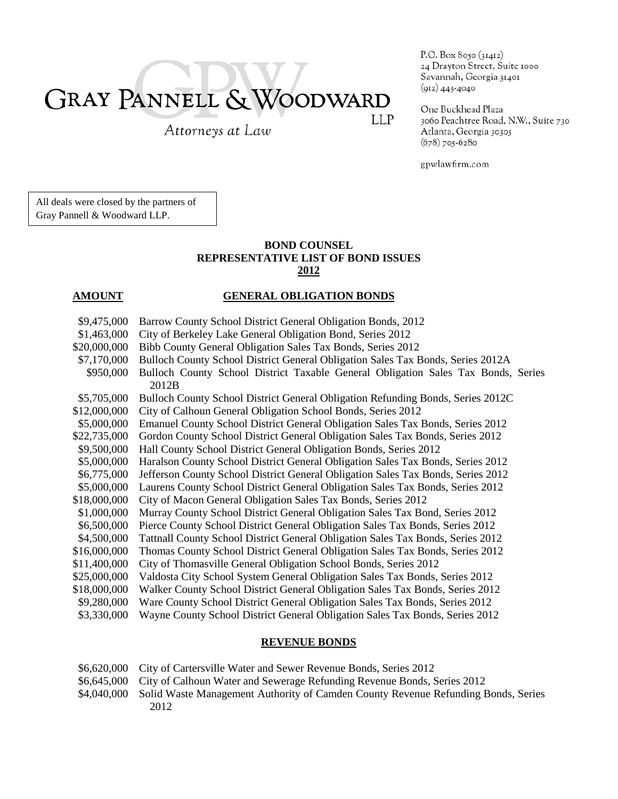# GRAY PANNELL & WOODWARD LLP

Attorneys at Law

P.O. Box 8050 (31412) 24 Drayton Street, Suite 1000 Savannah, Georgia 31401  $(912)$  443-4040

One Buckhead Plaza 3060 Peachtree Road, N.W., Suite 730 Atlanta, Georgia 30305  $(678)$  705-6280

gpwlawfirm.com

All deals were closed by the partners of Gray Pannell & Woodward LLP.

## **BOND COUNSEL REPRESENTATIVE LIST OF BOND ISSUES 2012**

# **AMOUNT GENERAL OBLIGATION BONDS**

| \$9,475,000  | Barrow County School District General Obligation Bonds, 2012                      |
|--------------|-----------------------------------------------------------------------------------|
| \$1,463,000  | City of Berkeley Lake General Obligation Bond, Series 2012                        |
| \$20,000,000 | Bibb County General Obligation Sales Tax Bonds, Series 2012                       |
| \$7,170,000  | Bulloch County School District General Obligation Sales Tax Bonds, Series 2012A   |
| \$950,000    | Bulloch County School District Taxable General Obligation Sales Tax Bonds, Series |
|              | 2012B                                                                             |
| \$5,705,000  | Bulloch County School District General Obligation Refunding Bonds, Series 2012C   |
| \$12,000,000 | City of Calhoun General Obligation School Bonds, Series 2012                      |
| \$5,000,000  | Emanuel County School District General Obligation Sales Tax Bonds, Series 2012    |
| \$22,735,000 | Gordon County School District General Obligation Sales Tax Bonds, Series 2012     |
| \$9,500,000  | Hall County School District General Obligation Bonds, Series 2012                 |
| \$5,000,000  | Haralson County School District General Obligation Sales Tax Bonds, Series 2012   |
| \$6,775,000  | Jefferson County School District General Obligation Sales Tax Bonds, Series 2012  |
| \$5,000,000  | Laurens County School District General Obligation Sales Tax Bonds, Series 2012    |
| \$18,000,000 | City of Macon General Obligation Sales Tax Bonds, Series 2012                     |
| \$1,000,000  | Murray County School District General Obligation Sales Tax Bond, Series 2012      |
| \$6,500,000  | Pierce County School District General Obligation Sales Tax Bonds, Series 2012     |
| \$4,500,000  | Tattnall County School District General Obligation Sales Tax Bonds, Series 2012   |
| \$16,000,000 | Thomas County School District General Obligation Sales Tax Bonds, Series 2012     |
| \$11,400,000 | City of Thomasville General Obligation School Bonds, Series 2012                  |
| \$25,000,000 | Valdosta City School System General Obligation Sales Tax Bonds, Series 2012       |
| \$18,000,000 | Walker County School District General Obligation Sales Tax Bonds, Series 2012     |
| \$9,280,000  | Ware County School District General Obligation Sales Tax Bonds, Series 2012       |
| \$3,330,000  | Wayne County School District General Obligation Sales Tax Bonds, Series 2012      |
|              |                                                                                   |

### **REVENUE BONDS**

- \$6,620,000 City of Cartersville Water and Sewer Revenue Bonds, Series 2012
- \$6,645,000 City of Calhoun Water and Sewerage Refunding Revenue Bonds, Series 2012
- \$4,040,000 Solid Waste Management Authority of Camden County Revenue Refunding Bonds, Series 2012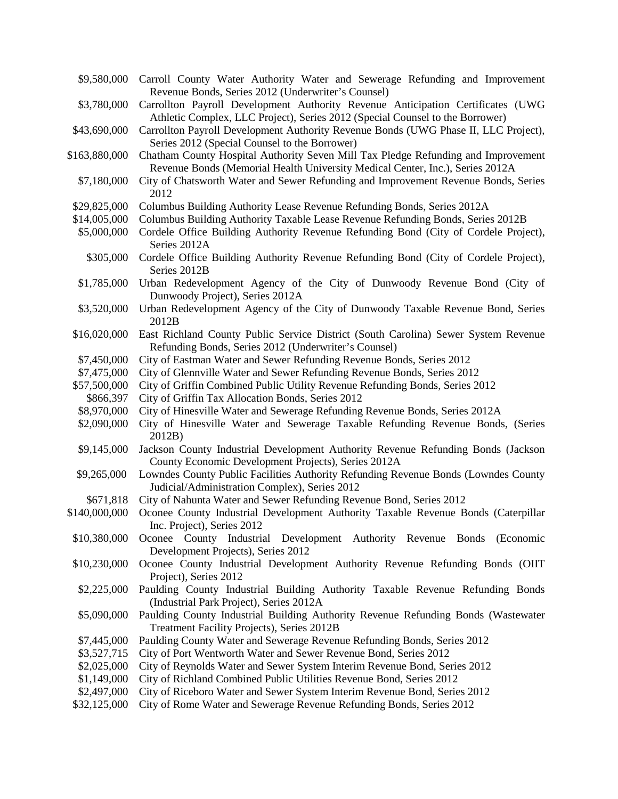\$9,580,000 Carroll County Water Authority Water and Sewerage Refunding and Improvement Revenue Bonds, Series 2012 (Underwriter's Counsel) \$3,780,000 Carrollton Payroll Development Authority Revenue Anticipation Certificates (UWG Athletic Complex, LLC Project), Series 2012 (Special Counsel to the Borrower) \$43,690,000 Carrollton Payroll Development Authority Revenue Bonds (UWG Phase II, LLC Project), Series 2012 (Special Counsel to the Borrower) \$163,880,000 Chatham County Hospital Authority Seven Mill Tax Pledge Refunding and Improvement Revenue Bonds (Memorial Health University Medical Center, Inc.), Series 2012A \$7,180,000 City of Chatsworth Water and Sewer Refunding and Improvement Revenue Bonds, Series 2012 \$29,825,000 Columbus Building Authority Lease Revenue Refunding Bonds, Series 2012A \$14,005,000 Columbus Building Authority Taxable Lease Revenue Refunding Bonds, Series 2012B \$5,000,000 Cordele Office Building Authority Revenue Refunding Bond (City of Cordele Project), Series 2012A \$305,000 Cordele Office Building Authority Revenue Refunding Bond (City of Cordele Project), Series 2012B \$1,785,000 Urban Redevelopment Agency of the City of Dunwoody Revenue Bond (City of Dunwoody Project), Series 2012A \$3,520,000 Urban Redevelopment Agency of the City of Dunwoody Taxable Revenue Bond, Series 2012B \$16,020,000 East Richland County Public Service District (South Carolina) Sewer System Revenue Refunding Bonds, Series 2012 (Underwriter's Counsel) \$7,450,000 City of Eastman Water and Sewer Refunding Revenue Bonds, Series 2012 \$7,475,000 City of Glennville Water and Sewer Refunding Revenue Bonds, Series 2012 \$57,500,000 City of Griffin Combined Public Utility Revenue Refunding Bonds, Series 2012 \$866,397 City of Griffin Tax Allocation Bonds, Series 2012 \$8,970,000 City of Hinesville Water and Sewerage Refunding Revenue Bonds, Series 2012A \$2,090,000 City of Hinesville Water and Sewerage Taxable Refunding Revenue Bonds, (Series 2012B) \$9,145,000 Jackson County Industrial Development Authority Revenue Refunding Bonds (Jackson \$9,265,000 County Economic Development Projects), Series 2012A Lowndes County Public Facilities Authority Refunding Revenue Bonds (Lowndes County Judicial/Administration Complex), Series 2012 \$671,818 City of Nahunta Water and Sewer Refunding Revenue Bond, Series 2012 \$140,000,000 Oconee County Industrial Development Authority Taxable Revenue Bonds (Caterpillar Inc. Project), Series 2012 \$10,380,000 Oconee County Industrial Development Authority Revenue Bonds (Economic Development Projects), Series 2012 \$10,230,000 Oconee County Industrial Development Authority Revenue Refunding Bonds (OIIT Project), Series 2012 \$2,225,000 Paulding County Industrial Building Authority Taxable Revenue Refunding Bonds (Industrial Park Project), Series 2012A \$5,090,000 Paulding County Industrial Building Authority Revenue Refunding Bonds (Wastewater Treatment Facility Projects), Series 2012B \$7,445,000 Paulding County Water and Sewerage Revenue Refunding Bonds, Series 2012 \$3,527,715 City of Port Wentworth Water and Sewer Revenue Bond, Series 2012<br>\$2,025,000 City of Reynolds Water and Sewer System Interim Revenue Bond, Ser City of Reynolds Water and Sewer System Interim Revenue Bond, Series 2012 \$1,149,000 City of Richland Combined Public Utilities Revenue Bond, Series 2012 \$2,497,000 City of Riceboro Water and Sewer System Interim Revenue Bond, Series 2012 \$32,125,000 City of Rome Water and Sewerage Revenue Refunding Bonds, Series 2012